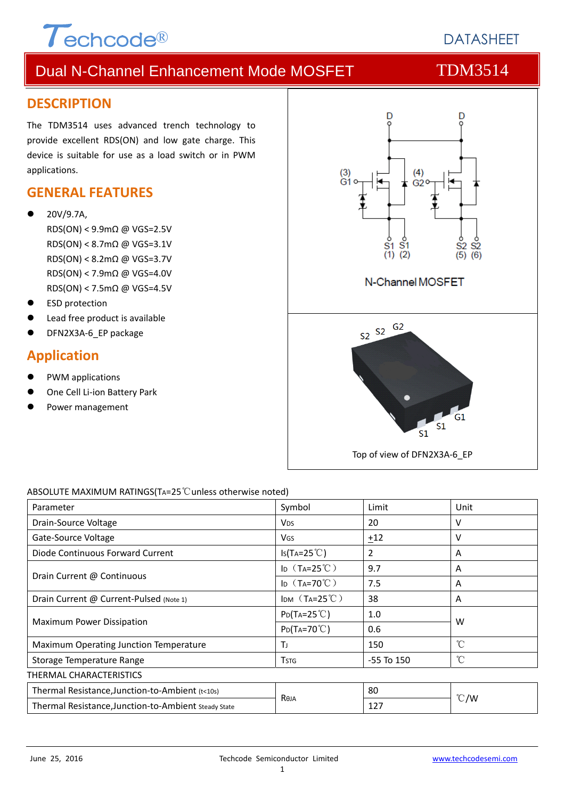

## **DATASHEFT**

## Dual N-Channel Enhancement Mode MOSFET TDM3514

#### **DESCRIPTION**

The TDM3514 uses advanced trench technology to provide excellent RDS(ON) and low gate charge. This device is suitable for use as a load switch or in PWM applications.

#### **GENERAL FEATURES**

- 20V/9.7A,
	- RDS(ON) < 9.9mΩ @ VGS=2.5V RDS(ON) < 8.7mΩ @ VGS=3.1V RDS(ON) < 8.2mΩ @ VGS=3.7V RDS(ON) < 7.9mΩ @ VGS=4.0V RDS(ON) < 7.5mΩ @ VGS=4.5V
- ESD protection
- Lead free product is available
- DFN2X3A-6 EP package

### **Application**

- PWM applications
- One Cell Li‐ion Battery Park
- Power management



#### ABSOLUTE MAXIMUM RATINGS(TA=25℃unless otherwise noted)

| Parameter                                            | Symbol                              | Limit          | Unit          |  |
|------------------------------------------------------|-------------------------------------|----------------|---------------|--|
| Drain-Source Voltage                                 | <b>V<sub>DS</sub></b>               | 20             | v             |  |
| Gate-Source Voltage                                  | VGS                                 | ±12            | v             |  |
| Diode Continuous Forward Current                     | $Is(TA=25^{\circ}C)$                | 2              | A             |  |
| Drain Current @ Continuous                           | ID $(T_A=25^{\circ}\text{C})$       | 9.7            | A             |  |
|                                                      | I <sub>D</sub> $(T_A=70^{\circ}$ C) | 7.5            | A             |  |
| Drain Current @ Current-Pulsed (Note 1)              | IDM $(T_A=25^{\circ}C)$             | 38             | A             |  |
| Maximum Power Dissipation                            | $P_{D}(T_{A}=25^{\circ}C)$          | 1.0            |               |  |
|                                                      | $P_{D}(Ta=70^{\circ}C)$             | 0.6            | W             |  |
| Maximum Operating Junction Temperature               | Тı                                  | 150            | °C            |  |
| Storage Temperature Range                            | <b>T</b> stg                        | $-55$ To $150$ | $^{\circ}$ C  |  |
| THERMAL CHARACTERISTICS                              |                                     |                |               |  |
| Thermal Resistance, Junction-to-Ambient (t<10s)      |                                     | 80             |               |  |
| Thermal Resistance, Junction-to-Ambient Steady State | Reja                                | 127            | $\degree$ C/W |  |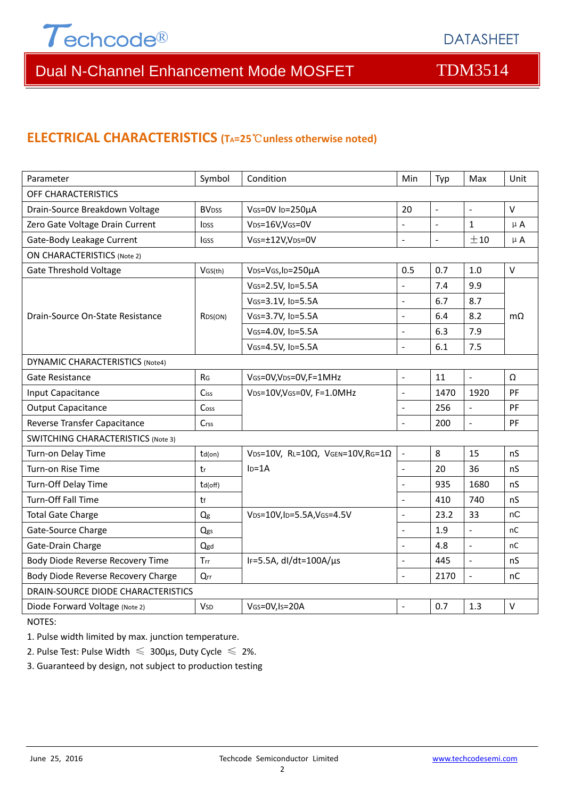

## Dual N-Channel Enhancement Mode MOSFET TDM3514

### **ELECTRICAL CHARACTERISTICS (TA=25**℃**unless otherwise noted)**

| Parameter                                 | Symbol                   | Condition                                         | Min                      | Typ                      | Max                      | Unit        |  |  |
|-------------------------------------------|--------------------------|---------------------------------------------------|--------------------------|--------------------------|--------------------------|-------------|--|--|
| OFF CHARACTERISTICS                       |                          |                                                   |                          |                          |                          |             |  |  |
| Drain-Source Breakdown Voltage            | <b>BV</b> <sub>DSS</sub> | 20<br>VGS=0V ID=250µA                             |                          | $\overline{\phantom{a}}$ | $\bar{\phantom{a}}$      | $\mathsf V$ |  |  |
| Zero Gate Voltage Drain Current           | <b>l</b> <sub>DSS</sub>  | VDS=16V,VGS=0V<br>-                               |                          | $\qquad \qquad \Box$     | $\mathbf{1}$             | $\mu$ A     |  |  |
| Gate-Body Leakage Current                 | lgss                     | VGS=±12V,VDS=0V                                   | $\overline{a}$           | $\overline{a}$           | ±10                      | $\mu$ A     |  |  |
| <b>ON CHARACTERISTICS (Note 2)</b>        |                          |                                                   |                          |                          |                          |             |  |  |
| <b>Gate Threshold Voltage</b>             | VGS(th)                  | VDS=VGS, ID=250µA                                 | 0.5                      | 0.7                      | 1.0                      | $\vee$      |  |  |
|                                           |                          | VGS=2.5V, ID=5.5A                                 | $\overline{\phantom{a}}$ | 7.4                      | 9.9                      |             |  |  |
|                                           |                          | VGS=3.1V, ID=5.5A                                 | $\overline{a}$           | 6.7                      | 8.7                      |             |  |  |
| Drain-Source On-State Resistance          | RDS(ON)                  | VGS=3.7V, ID=5.5A                                 | $\overline{a}$           | 6.4                      | 8.2                      | $m\Omega$   |  |  |
|                                           |                          | VGS=4.0V, ID=5.5A                                 | $\overline{a}$           | 6.3                      | 7.9                      |             |  |  |
|                                           |                          | VGS=4.5V, ID=5.5A                                 | $\overline{\phantom{a}}$ | 6.1                      | 7.5                      |             |  |  |
| <b>DYNAMIC CHARACTERISTICS (Note4)</b>    |                          |                                                   |                          |                          |                          |             |  |  |
| Gate Resistance                           | R <sub>G</sub>           | VGS=0V, VDS=0V, F=1MHz                            | $\overline{a}$           | 11                       | $\mathbb{Z}^2$           | Ω           |  |  |
| Input Capacitance                         | Ciss                     | VDS=10V, VGS=0V, F=1.0MHz                         | L,                       | 1470                     | 1920                     | PF          |  |  |
| <b>Output Capacitance</b>                 | Coss                     |                                                   | $\overline{a}$           | 256                      | $\mathbb{Z}$             | PF          |  |  |
| Reverse Transfer Capacitance              | Crss                     |                                                   | $\overline{a}$           | 200                      | $\overline{a}$           | PF          |  |  |
| <b>SWITCHING CHARACTERISTICS (Note 3)</b> |                          |                                                   |                          |                          |                          |             |  |  |
| Turn-on Delay Time                        | $td($ on $)$             | VDS=10V, RL=10 $\Omega$ , VGEN=10V, RG=1 $\Omega$ | $\blacksquare$           | 8                        | 15                       | nS          |  |  |
| Turn-on Rise Time                         | tr                       | $ID=1A$                                           | $\overline{a}$           | 20                       | 36                       | nS          |  |  |
| Turn-Off Delay Time                       | td(off)                  |                                                   | L.                       | 935                      | 1680                     | nS          |  |  |
| Turn-Off Fall Time                        | tf                       |                                                   | $\overline{a}$           | 410                      | 740                      | nS          |  |  |
| <b>Total Gate Charge</b>                  | Q <sub>g</sub>           | VDS=10V,ID=5.5A,VGS=4.5V                          | $\overline{\phantom{a}}$ | 23.2                     | 33                       | nC          |  |  |
| Gate-Source Charge                        | Qgs                      |                                                   | $\overline{a}$           | 1.9                      | $\mathbf{r}$             | nC          |  |  |
| Gate-Drain Charge                         | Qgd                      |                                                   | $\frac{1}{2}$            | 4.8                      | $\overline{\phantom{a}}$ | nC          |  |  |
| Body Diode Reverse Recovery Time          | Trr                      | IF=5.5A, $dI/dt=100A/\mu s$                       | ÷,                       | 445                      | $\overline{\phantom{a}}$ | nS          |  |  |
| Body Diode Reverse Recovery Charge        | Qrr                      |                                                   | $\frac{1}{2}$            | 2170                     | $\overline{a}$           | nC          |  |  |
| <b>DRAIN-SOURCE DIODE CHARACTERISTICS</b> |                          |                                                   |                          |                          |                          |             |  |  |
| Diode Forward Voltage (Note 2)            | <b>V<sub>SD</sub></b>    | VGS=0V, Is=20A                                    | $\overline{a}$           | 0.7                      | 1.3                      | $\vee$      |  |  |

NOTES:

1. Pulse width limited by max. junction temperature.

2. Pulse Test: Pulse Width  $\leq 300$ μs, Duty Cycle  $\leq 2\%$ .

3. Guaranteed by design, not subject to production testing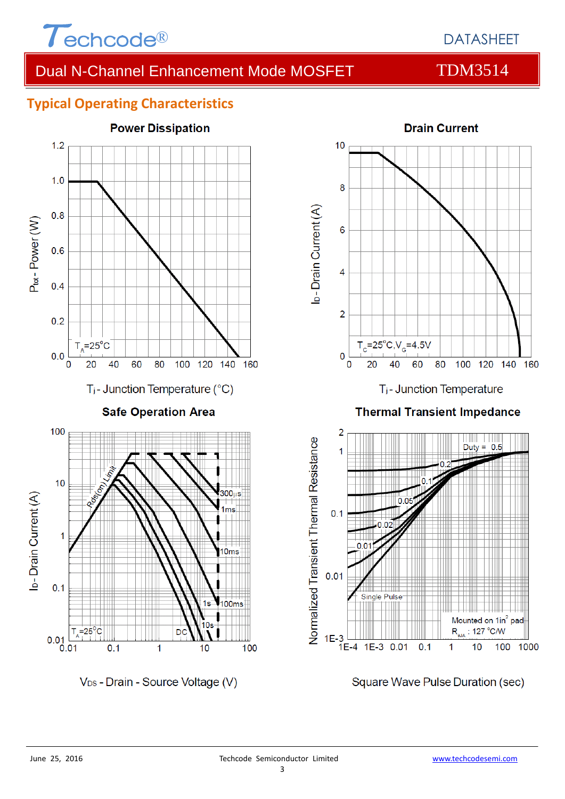

## Dual N-Channel Enhancement Mode MOSFET TDM3514

### **Typical Operating Characteristics**



V<sub>DS</sub> - Drain - Source Voltage (V)





Square Wave Pulse Duration (sec)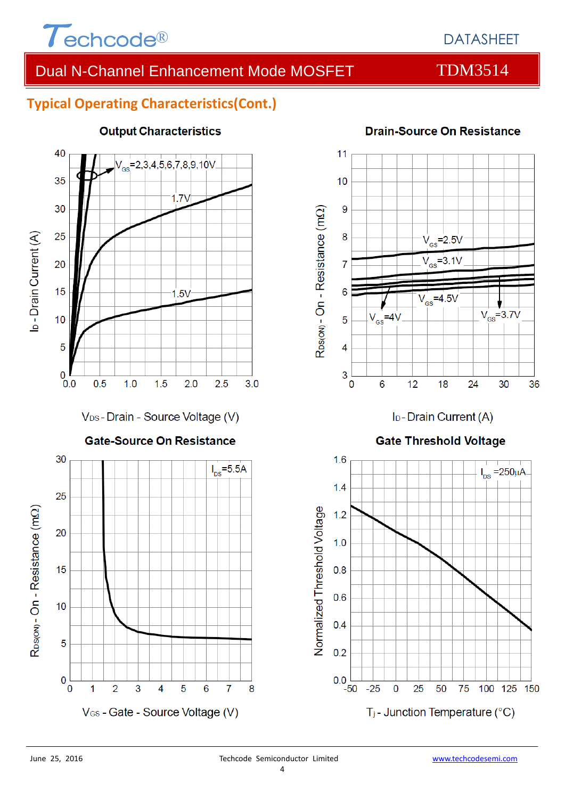

## DATASHEET

## Dual N-Channel Enhancement Mode MOSFET TDM3514

### **Typical Operating Characteristics(Cont.)**



**Output Characteristics** 



**Drain-Source On Resistance** 

I<sub>D</sub>-Drain Current (A)

#### **Gate Threshold Voltage**

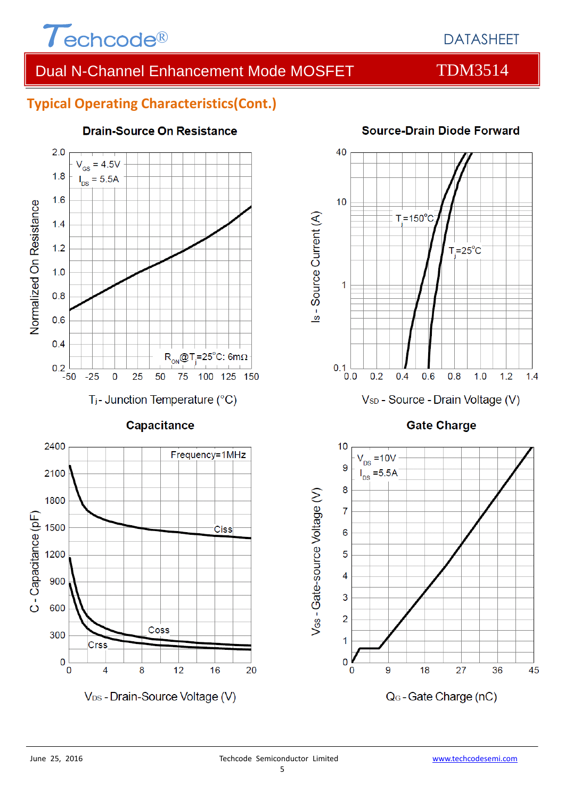

## DATASHEET

## Dual N-Channel Enhancement Mode MOSFET TDM3514

### **Typical Operating Characteristics(Cont.)**



#### **Drain-Source On Resistance**



#### **Source-Drain Diode Forward**

**Gate Charge** 





V<sub>DS</sub> - Drain-Source Voltage (V)

 $12$ 

16

20

Coss

8

1200

900

600

300

 $\mathbf 0$ 

 $\overline{0}$ 

Crss

 $\overline{4}$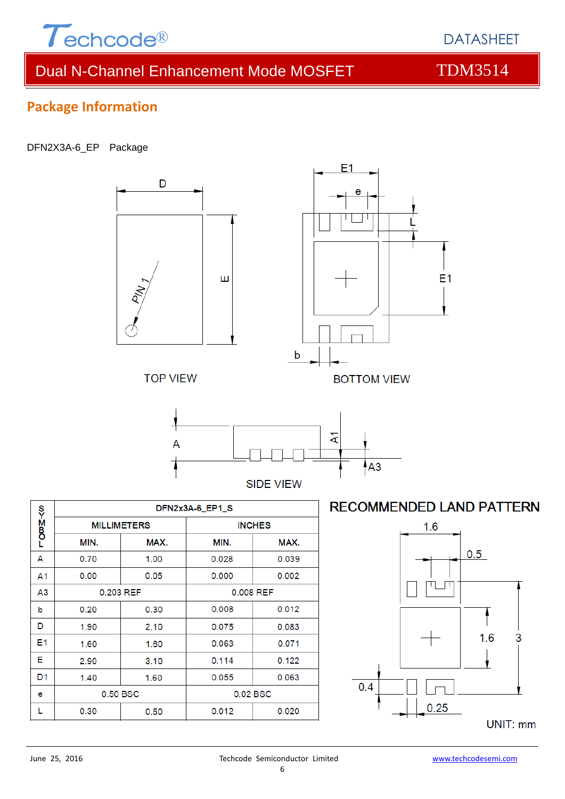

DATASHEET

## Dual N-Channel Enhancement Mode MOSFET TDM3514

## **Package Information**

#### DFN2X3A-6\_EP Package



|                    | DFN2x3A-6_EP1_S    |           |               |       |  |
|--------------------|--------------------|-----------|---------------|-------|--|
| <b>DOB</b><br>Doba | <b>MILLIMETERS</b> |           | <b>INCHES</b> |       |  |
|                    | MIN.               | MAX.      | MIN.          | MAX.  |  |
| A                  | 0.70               | 1.00      | 0.028         | 0.039 |  |
| A1                 | 0.00               | 0.05      | 0.000         | 0.002 |  |
| A3                 |                    | 0.203 REF | 0.008 REF     |       |  |
| b                  | 0.20               | 0.30      | 0.008         | 0.012 |  |
| D                  | 1.90               | 2.10      | 0.075         | 0.083 |  |
| E1                 | 1.60               | 1.80      | 0.063         | 0.071 |  |
| Е                  | 2.90               | 3.10      | 0.114         | 0.122 |  |
| D <sub>1</sub>     | 1.40               | 1.60      | 0.055         | 0.063 |  |
| е                  |                    | 0.50 BSC  | 0.02 BSC      |       |  |
|                    | 0.30               | 0.50      | 0.012         | 0.020 |  |

### **RECOMMENDED LAND PATTERN**